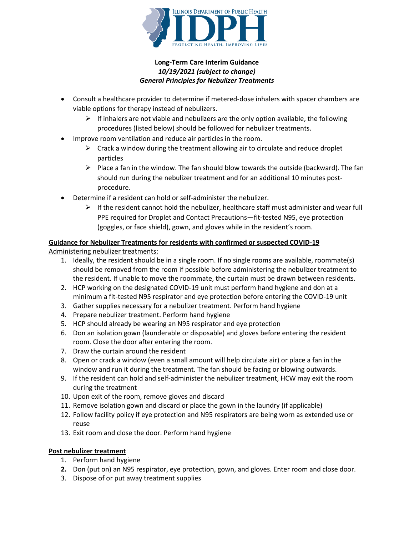

## **Long-Term Care Interim Guidance**  *10/19/2021 (subject to change) General Principles for Nebulizer Treatments*

- Consult a healthcare provider to determine if metered-dose inhalers with spacer chambers are viable options for therapy instead of nebulizers.
	- $\triangleright$  If inhalers are not viable and nebulizers are the only option available, the following procedures (listed below) should be followed for nebulizer treatments.
- Improve room ventilation and reduce air particles in the room.
	- $\triangleright$  Crack a window during the treatment allowing air to circulate and reduce droplet particles
	- $\triangleright$  Place a fan in the window. The fan should blow towards the outside (backward). The fan should run during the nebulizer treatment and for an additional 10 minutes postprocedure.
- Determine if a resident can hold or self-administer the nebulizer.
	- $\triangleright$  If the resident cannot hold the nebulizer, healthcare staff must administer and wear full PPE required for Droplet and Contact Precautions—fit-tested N95, eye protection (goggles, or face shield), gown, and gloves while in the resident's room.

# **Guidance for Nebulizer Treatments for residents with confirmed or suspected COVID-19**

Administering nebulizer treatments:

- 1. Ideally, the resident should be in a single room. If no single rooms are available, roommate(s) should be removed from the room if possible before administering the nebulizer treatment to the resident. If unable to move the roommate, the curtain must be drawn between residents.
- 2. HCP working on the designated COVID-19 unit must perform hand hygiene and don at a minimum a fit-tested N95 respirator and eye protection before entering the COVID-19 unit
- 3. Gather supplies necessary for a nebulizer treatment. Perform hand hygiene
- 4. Prepare nebulizer treatment. Perform hand hygiene
- 5. HCP should already be wearing an N95 respirator and eye protection
- 6. Don an isolation gown (launderable or disposable) and gloves before entering the resident room. Close the door after entering the room.
- 7. Draw the curtain around the resident
- 8. Open or crack a window (even a small amount will help circulate air) or place a fan in the window and run it during the treatment. The fan should be facing or blowing outwards.
- 9. If the resident can hold and self-administer the nebulizer treatment, HCW may exit the room during the treatment
- 10. Upon exit of the room, remove gloves and discard
- 11. Remove isolation gown and discard or place the gown in the laundry (if applicable)
- 12. Follow facility policy if eye protection and N95 respirators are being worn as extended use or reuse
- 13. Exit room and close the door. Perform hand hygiene

## **Post nebulizer treatment**

- 1. Perform hand hygiene
- **2.** Don (put on) an N95 respirator, eye protection, gown, and gloves. Enter room and close door.
- 3. Dispose of or put away treatment supplies